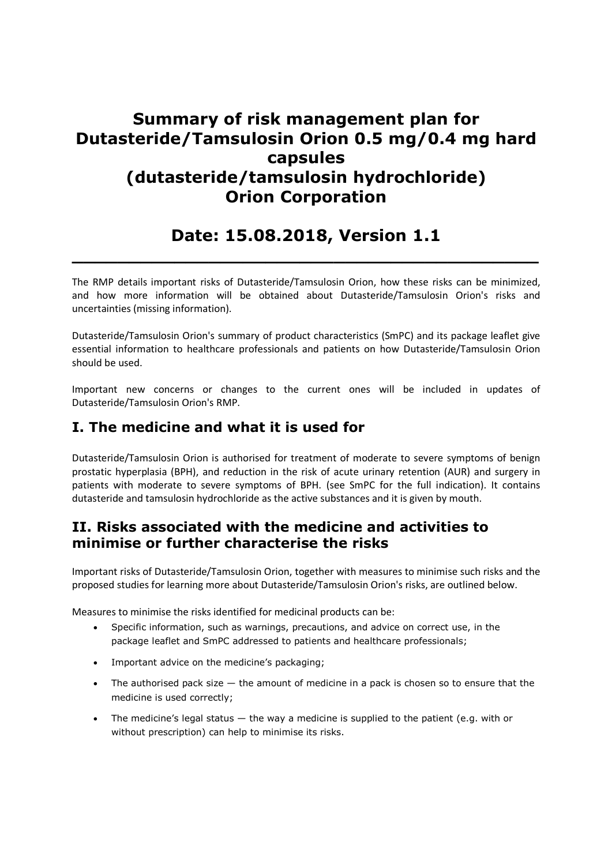# Summary of risk management plan for Dutasteride/Tamsulosin Orion 0.5 mg/0.4 mg hard capsules (dutasteride/tamsulosin hydrochloride) Orion Corporation

## Date: 15.08.2018, Version 1.1  $\_$  , and the set of the set of the set of the set of the set of the set of the set of the set of the set of the set of the set of the set of the set of the set of the set of the set of the set of the set of the set of th

The RMP details important risks of Dutasteride/Tamsulosin Orion, how these risks can be minimized, and how more information will be obtained about Dutasteride/Tamsulosin Orion's risks and uncertainties (missing information).

Dutasteride/Tamsulosin Orion's summary of product characteristics (SmPC) and its package leaflet give essential information to healthcare professionals and patients on how Dutasteride/Tamsulosin Orion should be used.

Important new concerns or changes to the current ones will be included in updates of Dutasteride/Tamsulosin Orion's RMP.

## I. The medicine and what it is used for

Dutasteride/Tamsulosin Orion is authorised for treatment of moderate to severe symptoms of benign prostatic hyperplasia (BPH), and reduction in the risk of acute urinary retention (AUR) and surgery in patients with moderate to severe symptoms of BPH. (see SmPC for the full indication). It contains dutasteride and tamsulosin hydrochloride as the active substances and it is given by mouth.

## II. Risks associated with the medicine and activities to minimise or further characterise the risks

Important risks of Dutasteride/Tamsulosin Orion, together with measures to minimise such risks and the proposed studies for learning more about Dutasteride/Tamsulosin Orion's risks, are outlined below.

Measures to minimise the risks identified for medicinal products can be:

- Specific information, such as warnings, precautions, and advice on correct use, in the package leaflet and SmPC addressed to patients and healthcare professionals;
- Important advice on the medicine's packaging;
- $\bullet$  The authorised pack size  $-$  the amount of medicine in a pack is chosen so to ensure that the medicine is used correctly;
- The medicine's legal status the way a medicine is supplied to the patient (e.g. with or without prescription) can help to minimise its risks.